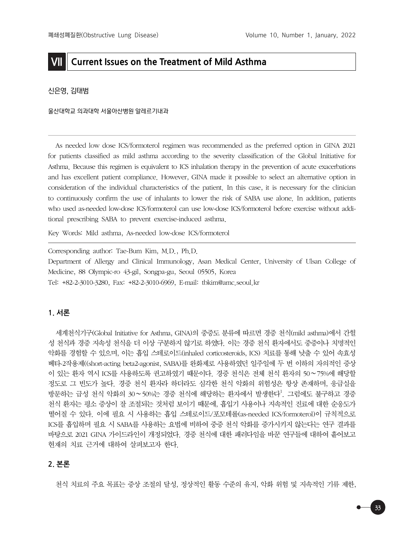# **VII Current Issues on the Treatment of Mild Asthma**

#### 신은영, 김태범

울산대학교 의과대학 서울아산병원 알레르기내과

As needed low dose ICS/formoterol regimen was recommended as the preferred option in GINA 2021 for patients classified as mild asthma according to the severity classification of the Global Initiative for Asthma. Because this regimen is equivalent to ICS inhalation therapy in the prevention of acute exacerbations and has excellent patient compliance. However, GINA made it possible to select an alternative option in consideration of the individual characteristics of the patient. In this case, it is necessary for the clinician to continuously confirm the use of inhalants to lower the risk of SABA use alone. In addition, patients who used as-needed low-dose ICS/formoterol can use low-dose ICS/formoterol before exercise without additional prescribing SABA to prevent exercise-induced asthma.

Key Words: Mild asthma, As-needed low-dose ICS/formoterol

Corresponding author: Tae-Bum Kim, M.D., Ph.D.

Department of Allergy and Clinical Immunology, Asan Medical Center, University of Ulsan College of Medicine, 88 Olympic-ro 43-gil, Songpa-gu, Seoul 05505, Korea Tel: +82-2-3010-3280, Fax: +82-2-3010-6969, E-mail: tbkim@amc.seoul.kr

## **1. 서론**

세계천식기구(Global Initiative for Asthma, GINA)의 중증도 분류에 따르면 경증 천식(mild asthma)에서 간헐 성 천식과 경증 지속성 천식을 더 이상 구분하지 않기로 하였다. 이는 경증 천식 환자에서도 중증이나 치명적인 악화를 경험할 수 있으며, 이는 흡입 스테로이드(inhaled corticosteroids, ICS) 치료를 통해 낮출 수 있어 속효성 베타-2작용제((short-acting beta2-agonist, SABA)를 완화제로 사용하였던 일주일에 두 번 이하의 자의적인 증상 이 있는 환자 역시 ICS를 사용하도록 권고하였기 때문이다. 경증 천식은 전체 천식 환자의 50∼75%에 해당할 정도로 그 빈도가 높다. 경증 천식 환자라 하더라도 심각한 천식 악화의 위험성은 항상 존재하며, 응급실을 방문하는 급성 천식 악화의 30∼50%는 경증 천식에 해당하는 환자에서 발생한다<sup>1</sup>. 그럼에도 불구하고 경증 천식 환자는 평소 증상이 잘 조절되는 것처럼 보이기 때문에, 흡입기 사용이나 지속적인 진료에 대한 순응도가 떨어질 수 있다. 이에 필요 시 사용하는 흡입 스테로이드/포모테롤(as-needed ICS/formoterol)이 규칙적으로 ICS를 흡입하며 필요 시 SABA를 사용하는 요법에 비하여 중증 천식 악화를 증가시키지 않는다는 연구 결과를 바탕으로 2021 GINA 가이드라인이 개정되었다. 경증 천식에 대한 패러다임을 바꾼 연구들에 대하여 흩어보고 현재의 치료 근거에 대하여 살펴보고자 한다.

## **2. 본론**

천식 치료의 주요 목표는 증상 조절의 달성, 정상적인 활동 수준의 유지, 악화 위험 및 지속적인 기류 제한,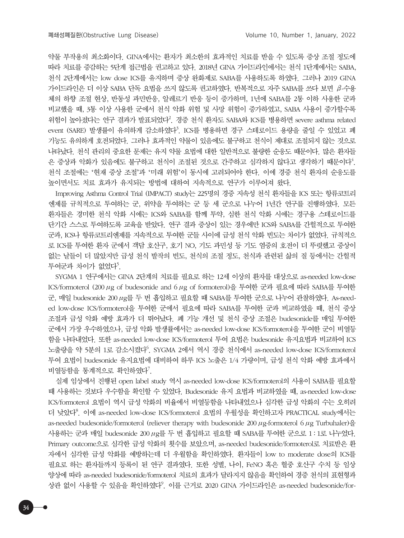약물 부작용의 최소화이다. GINA에서는 환자가 최소한의 효과적인 치료를 받을 수 있도록 증상 조절 정도에 따라 치료를 증감하는 5단계 접근법을 권고하고 있다. 2018년 GINA 가이드라인에서는 천식 1단계에서는 SABA, 천식 2단계에서는 low dose ICS를 유지하며 증상 완화제로 SABA를 사용하도록 하였다. 그러나 2019 GINA 가이드라인은 더 이상 SABA 단독 요법을 쓰지 않도록 권고하였다. 반복적으로 자주 SABA를 쓰다 보면 β-수용 체의 하향 조절 현상, 반동성 과민반응, 알레르기 반응 등이 증가하며, 1년에 SABA를 2통 이하 사용한 군과 비교했을 때, 3통 이상 사용한 군에서 천식 악화 위험 및 사망 위험이 증가하였고, SABA 사용이 증가할수록 위험이 높아졌다는 연구 결과가 발표되었다<sup>2</sup>. 경증 천식 환자도 SABA와 ICS를 병용하면 severe asthma related event (SARE) 발생률이 유의하게 감소하였다<sup>3</sup>. ICS를 병용하면 경구 스테로이드 용량을 줄일 수 있었고 폐 기능도 유의하게 호전되었다. 그러나 효과적인 약물이 있음에도 불구하고 천식이 제대로 조절되지 않는 것으로 나타났다. 천식 관리의 중요한 문제는 유지 약물 요법에 대한 일반적으로 불량한 순응도 때문이다. 많은 환자들 은 증상과 악화가 있음에도 불구하고 천식이 조절된 것으로 간주하고 심각하지 않다고 생각하기 때문이다<sup>4</sup>. 천식 조절에는 '현재 증상 조절'과 '미래 위험'이 동시에 고려되어야 한다. 이에 경증 천식 환자의 순응도를 높이면서도 치료 효과가 유지되는 방법에 대하여 지속적으로 연구가 이루어져 왔다.

Improving Asthma Control Trial (IMPACT) study는 225명의 경증 지속성 천식 환자들을 ICS 또는 항류코트리 엔제를 규칙적으로 투여하는 군, 위약을 투여하는 군 등 세 군으로 나누어 1년간 연구를 진행하였다. 모든 환자들은 경미한 천식 악화 시에는 ICS와 SABA를 함께 투약, 심한 천식 악화 시에는 경구용 스테로이드를 단기간 스스로 투여하도록 교육을 받았다. 연구 결과 증상이 있는 경우에만 ICS와 SABA를 간헐적으로 투여한 군과, ICS나 항류코트리엔제를 지속적으로 투여한 군들 사이에 급성 천식 악화 빈도는 차이가 없었다. 규칙적으 로 ICS를 투여한 환자 군에서 객담 호산구, 호기 NO, 기도 과민성 등 기도 염증의 호전이 더 뚜렷했고 증상이 없는 날들이 더 많았지만 급성 천식 발작의 빈도, 천식의 조절 정도, 천식과 관련된 삶의 질 등에서는 간헐적 투여군과 차이가 없었다<sup>5</sup>.

SYGMA 1 연구에서는 GINA 2단계의 치료를 필요로 하는 12세 이상의 환자를 대상으로 as-needed low-dose ICS/formoterol (200μg of budesonide and 6μg of formoterol)을 투여한 군과 필요에 따라 SABA를 투여한 군, 매일 budesonide 200μg를 두 번 흡입하고 필요할 때 SABA를 투여한 군으로 나누어 관찰하였다. As-needed low-dose ICS/formoterol을 투여한 군에서 필요에 따라 SABA를 투여한 군과 비교하였을 때, 천식 증상 조절과 급성 악화 예방 효과가 더 뛰어났다. 폐 기능 개선 및 천식 증상 조절은 budesonide를 매일 투여한 군에서 가장 우수하였으나, 급성 악화 발생률에서는 as-needed low-dose ICS/formoterol을 투여한 군이 비열등 함을 나타내었다. 또한 as-needed low-dose ICS/formoterol 투여 요법은 budesonide 유지요법과 비교하여 ICS 노출량을 약 5분의 1로 감소시켰다<sup>6</sup>. SYGMA 2에서 역시 경증 천식에서 as-needed low-dose ICS/formoterol 투여 요법이 budesonide 유지요법에 대비하여 하루 ICS 노출은 1/4 가량이며, 급성 천식 악화 예방 효과에서 비열등함을 통계적으로 확인하였다<sup>7</sup>.

실제 임상에서 진행된 open label study 역시 as-needed low-dose ICS/formoterol의 사용이 SABA를 필요할 때 사용하는 것보다 우수함을 확인할 수 있었다. Budesonide 유지 요법과 비교하였을 때, as-needed low-dose ICS/formoterol 요법이 역시 급성 악화의 비율에서 비열등함을 나타내었으나 심각한 급성 악화의 수는 오히려 더 낮았다8 . 이에 as-needed low-dose ICS/formoterol 요법의 우월성을 확인하고자 PRACTICAL study에서는 as-needed budesonide/formoterol (reliever therapy with budesonide 200  $\mu$ g-formoterol 6  $\mu$ g Turbuhaler)을 사용하는 군과 매일 budesonide 200μg를 두 번 흡입하고 필요할 때 SABA를 투여한 군으로 1 : 1로 나누었다. Primary outcome으로 심각한 급성 악화의 횟수를 보았으며, as-needed budesonide/formoterol로 치료받은 환 자에서 심각한 급성 악화를 예방하는데 더 우월함을 확인하였다. 환자들이 low to moderate dose의 ICS를 필요로 하는 환자들까지 등록이 된 연구 결과였다. 또한 성별, 나이, FeNO 혹은 혈중 호산구 수치 등 임상 양상에 따라 as-needed budesonide/formoterol 치료의 효과가 달라지지 않음을 확인하여 경증 천식의 표현형과 상관 없이 사용할 수 있음을 확인하였다<sup>9</sup>. 이를 근거로 2020 GINA 가이드라인은 as-needed budesonide/for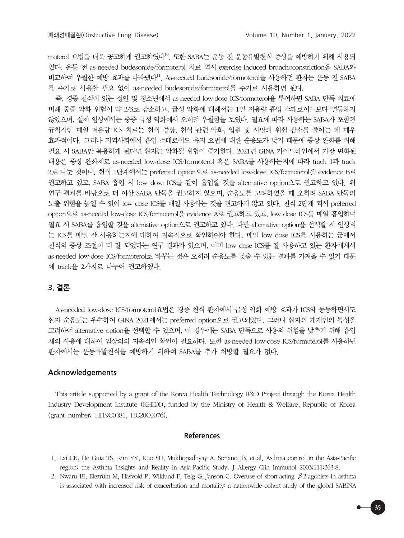moterol 요법을 더욱 공고하게 권고하였다<sup>10</sup>. 또한 SABA는 운동 전 운동유발천식 증상을 예방하기 위해 사용되 었다. 운동 전 as-needed budesonide/formoterol 치료 역시 exercise-induced bronchoconstriction을 SABA와 비교하여 우월한 예방 효과를 나타냈다11. As-needed budesonide/formoterol을 사용하던 환자는 운동 전 SABA 를 추가로 사용할 필요 없이 as-needed budesonide/formoterol를 추가로 사용하면 된다.

즉, 경증 천식이 있는 성인 및 청소년에서 as-needed low-dose ICS/formoterol을 투여하면 SABA 단독 치료에 비해 중증 악화 위험이 약 2/3로 감소하고, 급성 악화에 대해서는 1일 저용량 흡입 스테로이드보다 열등하지 않았으며, 실제 임상에서는 중증 급성 악화에서 오히려 우월함을 보였다. 필요에 따라 사용하는 SABA가 포함된 규칙적인 매일 저용량 ICS 치료는 천식 증상, 천식 관련 악화, 입원 및 사망의 위험 감소를 줄이는 데 매우 효과적이다. 그러나 지역사회에서 흡입 스테로이드 유지 요법에 대한 순응도가 낮기 때문에 증상 완화를 위해 필요 시 SABA만 복용하게 된다면 환자는 악화될 위험이 증가한다. 2021년 GINA 가이드라인에서 가장 변화된 내용은 증상 완화제로 as-needed low-dose ICS/formoterol 혹은 SABA를 사용하는지에 따라 track 1과 track 2로 나눈 것이다. 천식 1단계에서는 preferred option으로 as-needed low-dose ICS/formoterol을 evidence B로 권고하고 있고, SABA 흡입 시 low dose ICS를 같이 흡입할 것을 alternative option으로 권고하고 있다. 위 연구 결과를 바탕으로 더 이상 SABA 단독을 권고하지 않으며, 순응도를 고려하였을 때 오히려 SABA 단독의 노출 위험을 높일 수 있어 low dose ICS를 매일 사용하는 것을 권고하지 않고 있다. 천식 2단계 역시 preferred option으로 as-needed low-dose ICS/formoterol을 evidence A로 권고하고 있고, low dose ICS를 매일 흡입하며 필요 시 SABA를 흡입할 것을 alternative option으로 권고하고 있다. 다만 alternative option을 선택할 시 임상의 는 ICS를 매일 잘 사용하는지에 대하여 지속적으로 확인하여야 한다. 매일 low dose ICS를 사용하는 군에서 천식의 증상 조절이 더 잘 되었다는 연구 결과가 있으며, 이미 low dose ICS를 잘 사용하고 있는 환자에게서 as-needed low-dose ICS/formoterol로 바꾸는 것은 오히려 순응도를 낮출 수 있는 결과를 가져올 수 있기 때문 에 track을 2가지로 나누어 권고하였다.

## **3. 결론**

As-needed low-dose ICS/formoterol요법은 경증 천식 환자에서 급성 악화 예방 효과가 ICS와 동등하면서도 환자 순응도는 우수하여 GINA 2021에서는 preferred option으로 권고되었다. 그러나 환자의 개개인의 특성을 고려하여 alternative option을 선택할 수 있으며, 이 경우에는 SABA 단독으로 사용의 위험을 낮추기 위해 흡입 제의 사용에 대하여 임상의의 지속적인 확인이 필요하다. 또한 as-needed low-dose ICS/formoterol를 사용하던 환자에서는 운동유발천식을 예방하기 위하여 SABA를 추가 처방할 필요가 없다.

### **Acknowledgements**

This article supported by a grant of the Korea Health Technology R&D Project through the Korea Health Industry Development Institute (KHIDI), funded by the Ministry of Health & Welfare, Republic of Korea (grant number: HI19C0481, HC20C0076).

### **References**

<sup>1.</sup> Lai CK, De Guia TS, Kim YY, Kuo SH, Mukhopadhyay A, Soriano JB, et al. Asthma control in the Asia-Pacific region: the Asthma Insights and Reality in Asia-Pacific Study. J Allergy Clin Immunol 2003;111:263-8.

<sup>2.</sup> Nwaru BI, Ekström M, Hasvold P, Wiklund F, Telg G, Janson C. Overuse of short-acting β2-agonists in asthma is associated with increased risk of exacerbation and mortality: a nationwide cohort study of the global SABINA